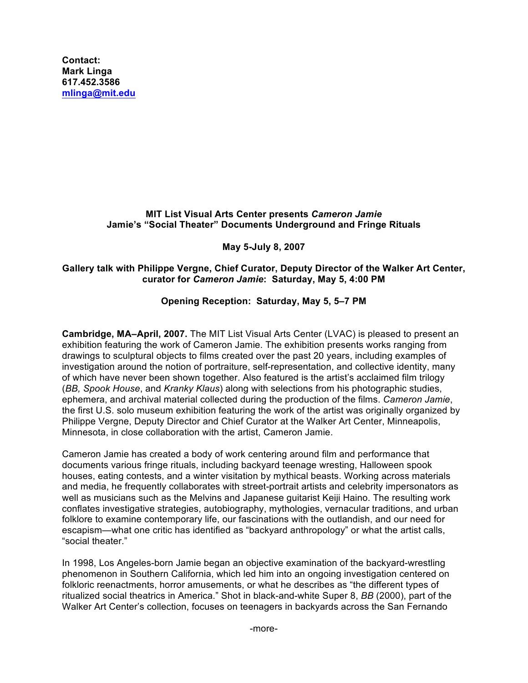**Contact: Mark Linga [617.452.3586](tel:6174523586) [mlinga@mit.edu](mailto:mlinga@mit.edu)**

## **MIT List Visual Arts Center presents** *Cameron Jamie* **Jamie's "Social Theater" Documents Underground and Fringe Rituals**

## **May 5-July 8, 2007**

## **Gallery talk with Philippe Vergne, Chief Curator, Deputy Director of the Walker Art Center, curator for** *Cameron Jamie***: Saturday, May 5, 4:00 PM**

## **Opening Reception: Saturday, May 5, 5–7 PM**

**Cambridge, MA–April, 2007.** The MIT List Visual Arts Center (LVAC) is pleased to present an exhibition featuring the work of Cameron Jamie. The exhibition presents works ranging from drawings to sculptural objects to films created over the past 20 years, including examples of investigation around the notion of portraiture, self-representation, and collective identity, many of which have never been shown together. Also featured is the artist's acclaimed film trilogy (*BB, Spook House*, and *Kranky Klaus*) along with selections from his photographic studies, ephemera, and archival material collected during the production of the films. *Cameron Jamie*, the first U.S. solo museum exhibition featuring the work of the artist was originally organized by Philippe Vergne, Deputy Director and Chief Curator at the Walker Art Center, Minneapolis, Minnesota, in close collaboration with the artist, Cameron Jamie.

Cameron Jamie has created a body of work centering around film and performance that documents various fringe rituals, including backyard teenage wresting, Halloween spook houses, eating contests, and a winter visitation by mythical beasts. Working across materials and media, he frequently collaborates with street-portrait artists and celebrity impersonators as well as musicians such as the Melvins and Japanese guitarist Keiji Haino. The resulting work conflates investigative strategies, autobiography, mythologies, vernacular traditions, and urban folklore to examine contemporary life, our fascinations with the outlandish, and our need for escapism—what one critic has identified as "backyard anthropology" or what the artist calls, "social theater."

In 1998, Los Angeles-born Jamie began an objective examination of the backyard-wrestling phenomenon in Southern California, which led him into an ongoing investigation centered on folkloric reenactments, horror amusements, or what he describes as "the different types of ritualized social theatrics in America." Shot in black-and-white Super 8, *BB* (2000), part of the Walker Art Center's collection, focuses on teenagers in backyards across the San Fernando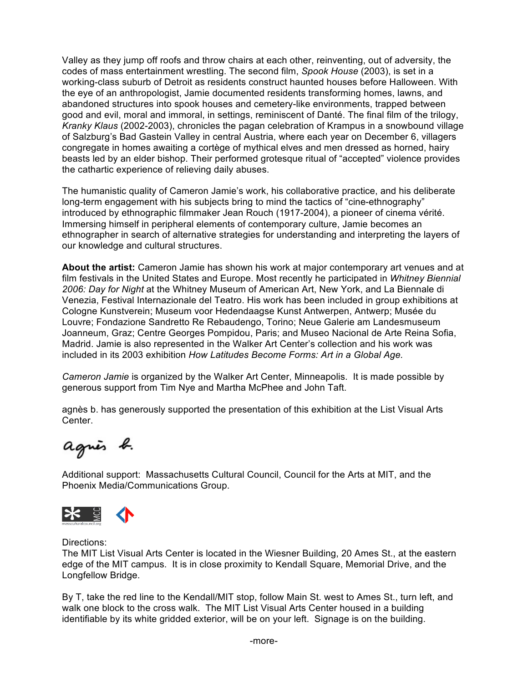Valley as they jump off roofs and throw chairs at each other, reinventing, out of adversity, the codes of mass entertainment wrestling. The second film, *Spook House* (2003), is set in a working-class suburb of Detroit as residents construct haunted houses before Halloween. With the eye of an anthropologist, Jamie documented residents transforming homes, lawns, and abandoned structures into spook houses and cemetery-like environments, trapped between good and evil, moral and immoral, in settings, reminiscent of Danté. The final film of the trilogy, *Kranky Klaus* (2002-2003), chronicles the pagan celebration of Krampus in a snowbound village of Salzburg's Bad Gastein Valley in central Austria, where each year on December 6, villagers congregate in homes awaiting a cortège of mythical elves and men dressed as horned, hairy beasts led by an elder bishop. Their performed grotesque ritual of "accepted" violence provides the cathartic experience of relieving daily abuses.

The humanistic quality of Cameron Jamie's work, his collaborative practice, and his deliberate long-term engagement with his subjects bring to mind the tactics of "cine-ethnography" introduced by ethnographic filmmaker Jean Rouch (1917-2004), a pioneer of cinema vérité. Immersing himself in peripheral elements of contemporary culture, Jamie becomes an ethnographer in search of alternative strategies for understanding and interpreting the layers of our knowledge and cultural structures.

**About the artist:** Cameron Jamie has shown his work at major contemporary art venues and at film festivals in the United States and Europe. Most recently he participated in *Whitney Biennial 2006: Day for Night* at the Whitney Museum of American Art, New York, and La Biennale di Venezia, Festival Internazionale del Teatro. His work has been included in group exhibitions at Cologne Kunstverein; Museum voor Hedendaagse Kunst Antwerpen, Antwerp; Musée du Louvre; Fondazione Sandretto Re Rebaudengo, Torino; Neue Galerie am Landesmuseum Joanneum, Graz; Centre Georges Pompidou, Paris; and Museo Nacional de Arte Reina Sofia, Madrid. Jamie is also represented in the Walker Art Center's collection and his work was included in its 2003 exhibition *How Latitudes Become Forms: Art in a Global Age.*

*Cameron Jamie* is organized by the Walker Art Center, Minneapolis. It is made possible by generous support from Tim Nye and Martha McPhee and John Taft.

agnès b. has generously supported the presentation of this exhibition at the List Visual Arts Center.

agnès b.

Additional support: Massachusetts Cultural Council, Council for the Arts at MIT, and the Phoenix Media/Communications Group.



Directions:

The MIT List Visual Arts Center is located in the Wiesner Building, 20 Ames St., at the eastern edge of the MIT campus. It is in close proximity to Kendall Square, Memorial Drive, and the Longfellow Bridge.

By T, take the red line to the Kendall/MIT stop, follow Main St. west to Ames St., turn left, and walk one block to the cross walk. The MIT List Visual Arts Center housed in a building identifiable by its white gridded exterior, will be on your left. Signage is on the building.